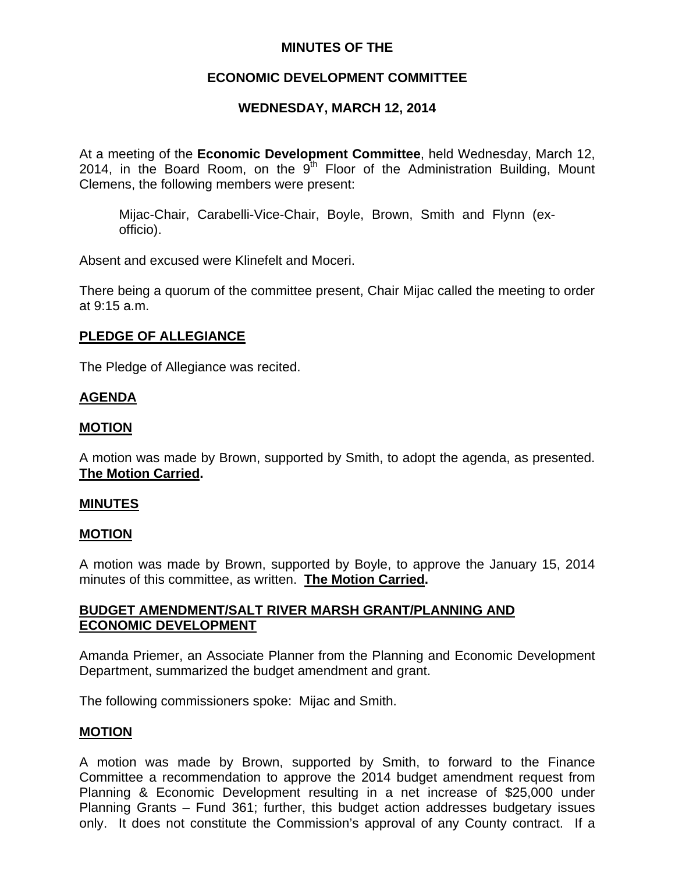# **MINUTES OF THE**

## **ECONOMIC DEVELOPMENT COMMITTEE**

## **WEDNESDAY, MARCH 12, 2014**

At a meeting of the **Economic Development Committee**, held Wednesday, March 12, 2014, in the Board Room, on the  $9<sup>th</sup>$  Floor of the Administration Building, Mount Clemens, the following members were present:

Mijac-Chair, Carabelli-Vice-Chair, Boyle, Brown, Smith and Flynn (exofficio).

Absent and excused were Klinefelt and Moceri.

There being a quorum of the committee present, Chair Mijac called the meeting to order at 9:15 a.m.

## **PLEDGE OF ALLEGIANCE**

The Pledge of Allegiance was recited.

## **AGENDA**

## **MOTION**

A motion was made by Brown, supported by Smith, to adopt the agenda, as presented. **The Motion Carried.** 

#### **MINUTES**

#### **MOTION**

A motion was made by Brown, supported by Boyle, to approve the January 15, 2014 minutes of this committee, as written. **The Motion Carried.** 

## **BUDGET AMENDMENT/SALT RIVER MARSH GRANT/PLANNING AND ECONOMIC DEVELOPMENT**

Amanda Priemer, an Associate Planner from the Planning and Economic Development Department, summarized the budget amendment and grant.

The following commissioners spoke: Mijac and Smith.

# **MOTION**

A motion was made by Brown, supported by Smith, to forward to the Finance Committee a recommendation to approve the 2014 budget amendment request from Planning & Economic Development resulting in a net increase of \$25,000 under Planning Grants – Fund 361; further, this budget action addresses budgetary issues only. It does not constitute the Commission's approval of any County contract. If a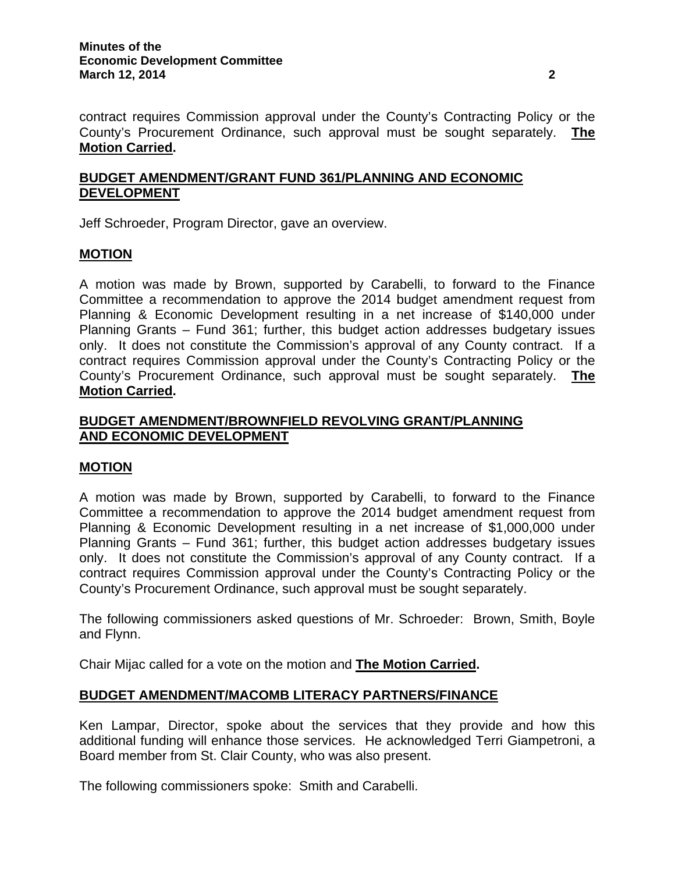contract requires Commission approval under the County's Contracting Policy or the County's Procurement Ordinance, such approval must be sought separately. **The Motion Carried.** 

# **BUDGET AMENDMENT/GRANT FUND 361/PLANNING AND ECONOMIC DEVELOPMENT**

Jeff Schroeder, Program Director, gave an overview.

# **MOTION**

A motion was made by Brown, supported by Carabelli, to forward to the Finance Committee a recommendation to approve the 2014 budget amendment request from Planning & Economic Development resulting in a net increase of \$140,000 under Planning Grants – Fund 361; further, this budget action addresses budgetary issues only. It does not constitute the Commission's approval of any County contract. If a contract requires Commission approval under the County's Contracting Policy or the County's Procurement Ordinance, such approval must be sought separately. **The Motion Carried.** 

# **BUDGET AMENDMENT/BROWNFIELD REVOLVING GRANT/PLANNING AND ECONOMIC DEVELOPMENT**

# **MOTION**

A motion was made by Brown, supported by Carabelli, to forward to the Finance Committee a recommendation to approve the 2014 budget amendment request from Planning & Economic Development resulting in a net increase of \$1,000,000 under Planning Grants – Fund 361; further, this budget action addresses budgetary issues only. It does not constitute the Commission's approval of any County contract. If a contract requires Commission approval under the County's Contracting Policy or the County's Procurement Ordinance, such approval must be sought separately.

The following commissioners asked questions of Mr. Schroeder: Brown, Smith, Boyle and Flynn.

Chair Mijac called for a vote on the motion and **The Motion Carried.** 

# **BUDGET AMENDMENT/MACOMB LITERACY PARTNERS/FINANCE**

Ken Lampar, Director, spoke about the services that they provide and how this additional funding will enhance those services. He acknowledged Terri Giampetroni, a Board member from St. Clair County, who was also present.

The following commissioners spoke: Smith and Carabelli.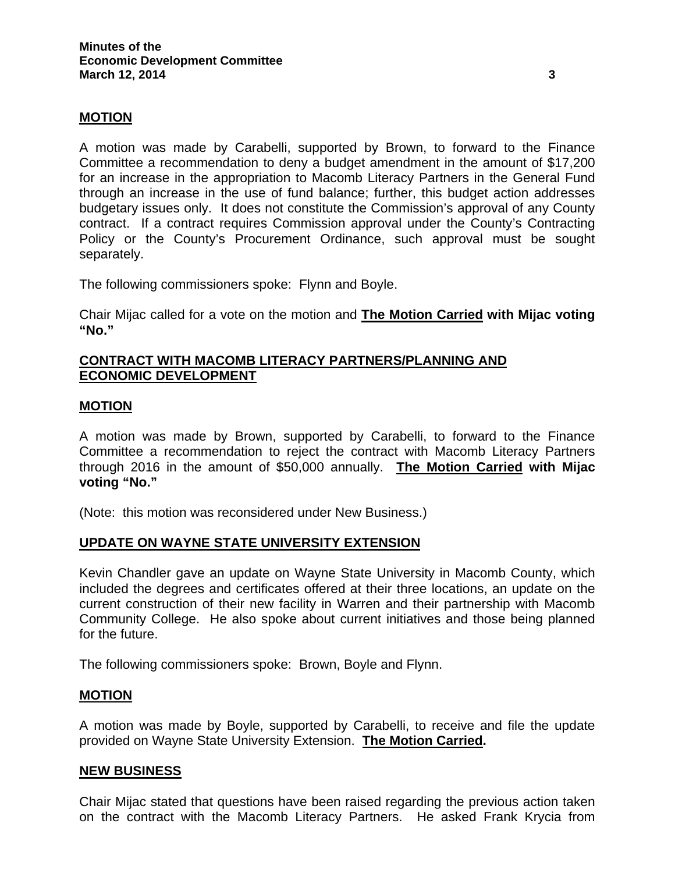## **MOTION**

A motion was made by Carabelli, supported by Brown, to forward to the Finance Committee a recommendation to deny a budget amendment in the amount of \$17,200 for an increase in the appropriation to Macomb Literacy Partners in the General Fund through an increase in the use of fund balance; further, this budget action addresses budgetary issues only. It does not constitute the Commission's approval of any County contract. If a contract requires Commission approval under the County's Contracting Policy or the County's Procurement Ordinance, such approval must be sought separately.

The following commissioners spoke: Flynn and Boyle.

Chair Mijac called for a vote on the motion and **The Motion Carried with Mijac voting "No."** 

#### **CONTRACT WITH MACOMB LITERACY PARTNERS/PLANNING AND ECONOMIC DEVELOPMENT**

#### **MOTION**

A motion was made by Brown, supported by Carabelli, to forward to the Finance Committee a recommendation to reject the contract with Macomb Literacy Partners through 2016 in the amount of \$50,000 annually. **The Motion Carried with Mijac voting "No."** 

(Note: this motion was reconsidered under New Business.)

#### **UPDATE ON WAYNE STATE UNIVERSITY EXTENSION**

Kevin Chandler gave an update on Wayne State University in Macomb County, which included the degrees and certificates offered at their three locations, an update on the current construction of their new facility in Warren and their partnership with Macomb Community College. He also spoke about current initiatives and those being planned for the future.

The following commissioners spoke: Brown, Boyle and Flynn.

#### **MOTION**

A motion was made by Boyle, supported by Carabelli, to receive and file the update provided on Wayne State University Extension. **The Motion Carried.** 

#### **NEW BUSINESS**

Chair Mijac stated that questions have been raised regarding the previous action taken on the contract with the Macomb Literacy Partners. He asked Frank Krycia from